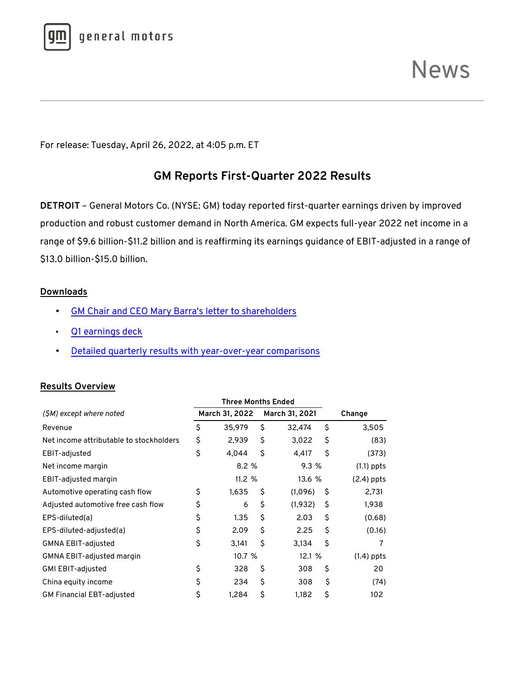

For release: Tuesday, April 26, 2022, at 4:05 p.m. ET

# **GM Reports First-Quarter 2022 Results**

**DETROIT** – General Motors Co. (NYSE: GM) today reported first-quarter earnings driven by improved production and robust customer demand in North America. GM expects full-year 2022 net income in a range of \$9.6 billion-\$11.2 billion and is reaffirming its earnings guidance of EBIT-adjusted in a range of \$13.0 billion-\$15.0 billion.

#### **Downloads**

- [GM Chair and CEO Mary Barra's letter to shareholders](https://media.gm.com/media/us/en/gm/home.detail.html/content/Pages/news/emergency_news/2022/shareholders/q1-22-ceo-letter-to-shareholders.html)
- [Q1 earnings deck](https://media.gm.com/content/dam/Media/gmcom/investor/2022/apr/q1-earnings-deck-and-cy-2022.pdf)
- [Detailed quarterly results with year-over-year comparisons](https://media.gm.com/content/dam/Media/gmcom/investor/2022/apr/q1-22-financial-highlights.pdf)

#### **Results Overview**

| Three Months Ended                      |    |                |    |                |    |              |
|-----------------------------------------|----|----------------|----|----------------|----|--------------|
| (\$M) except where noted                |    | March 31, 2022 |    | March 31, 2021 |    | Change       |
| Revenue                                 | \$ | 35,979         | \$ | 32,474         | \$ | 3,505        |
| Net income attributable to stockholders | \$ | 2,939          | \$ | 3,022          | \$ | (83)         |
| EBIT-adjusted                           | \$ | 4,044          | \$ | 4,417          | \$ | (373)        |
| Net income margin                       |    | 8.2%           |    | 9.3 %          |    | $(1.1)$ ppts |
| EBIT-adjusted margin                    |    | 11.2%          |    | 13.6 %         |    | (2.4) ppts   |
| Automotive operating cash flow          | \$ | 1,635          | \$ | (1,096)        | Ŝ  | 2,731        |
| Adjusted automotive free cash flow      | \$ | 6              | \$ | (1,932)        | \$ | 1,938        |
| EPS-diluted(a)                          | \$ | 1.35           | \$ | 2.03           | \$ | (0.68)       |
| EPS-diluted-adjusted(a)                 | \$ | 2.09           | \$ | 2.25           | \$ | (0.16)       |
| GMNA EBIT-adjusted                      | \$ | 3,141          | \$ | 3,134          | \$ | 7            |
| GMNA EBIT-adjusted margin               |    | 10.7 %         |    | 12.1 %         |    | $(1.4)$ ppts |
| GMI EBIT-adjusted                       | \$ | 328            | \$ | 308            | \$ | 20           |
| China equity income                     | \$ | 234            | \$ | 308            | \$ | (74)         |
| <b>GM Financial EBT-adjusted</b>        | \$ | 1,284          | \$ | 1,182          | \$ | 102          |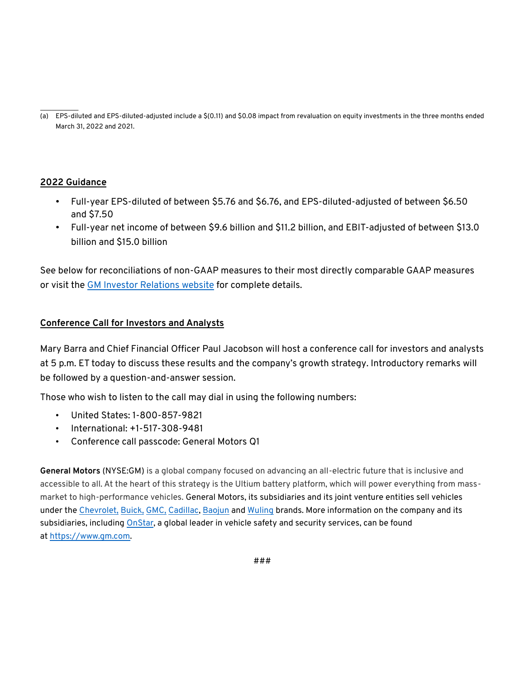$\overline{\phantom{a}}$ (a) EPS-diluted and EPS-diluted-adjusted include a \$(0.11) and \$0.08 impact from revaluation on equity investments in the three months ended March 31, 2022 and 2021.

## **2022 Guidance**

- Full-year EPS-diluted of between \$5.76 and \$6.76, and EPS-diluted-adjusted of between \$6.50 and \$7.50
- Full-year net income of between \$9.6 billion and \$11.2 billion, and EBIT-adjusted of between \$13.0 billion and \$15.0 billion

See below for reconciliations of non-GAAP measures to their most directly comparable GAAP measures or visit th[e GM Investor Relations website](https://investor.gm.com/) for complete details.

## **Conference Call for Investors and Analysts**

Mary Barra and Chief Financial Officer Paul Jacobson will host a conference call for investors and analysts at 5 p.m. ET today to discuss these results and the company's growth strategy. Introductory remarks will be followed by a question-and-answer session.

Those who wish to listen to the call may dial in using the following numbers:

- United States: 1-800-857-9821
- International: +1-517-308-9481
- Conference call passcode: General Motors Q1

**General Motors** (NYSE:GM) is a global company focused on advancing an all-electric future that is inclusive and accessible to all. At the heart of this strategy is the Ultium battery platform, which will power everything from massmarket to high-performance vehicles. General Motors, its subsidiaries and its joint venture entities sell vehicles under the [Chevrolet,](https://www.chevrolet.com/?evar25=gm_media_release) [Buick,](https://www.buick.com/?evar25=gm_media_release) [GMC,](https://www.gmc.com/?evar25=gm_media_release) [Cadillac,](https://www.cadillac.com/?evar25=gm_media_release) [Baojun](https://www.sgmw.com.cn/) and [Wuling](https://www.sgmw.com.cn/) brands. More information on the company and its subsidiaries, including [OnStar,](https://www.onstar.com/us/en/home/) a global leader in vehicle safety and security services, can be found at [https://www.gm.com.](https://www.gm.com/)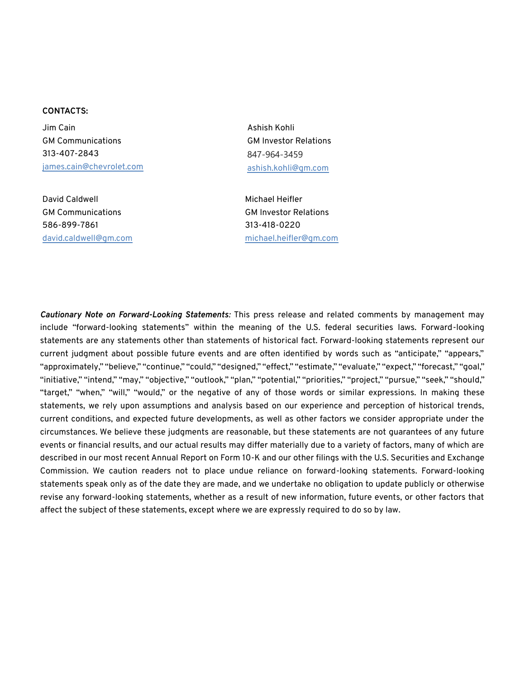#### **CONTACTS:**

Jim Cain GM Communications 313-407-2843 [james.cain@chevrolet.com](mailto:james.cain@chevrolet.com)

David Caldwell GM Communications 586-899-7861 [david.caldwell@gm.com](mailto:david.caldwell@gm.com) Ashish Kohli GM Investor Relations 847-964-3459 [ashish.kohli@gm.com](mailto:ashish.kohli@gm.com)

Michael Heifler GM Investor Relations 313-418-0220 [michael.heifler@gm.com](mailto:michael.heifler@gm.com)

*Cautionary Note on Forward-Looking Statements:* This press release and related comments by management may include "forward-looking statements" within the meaning of the U.S. federal securities laws. Forward-looking statements are any statements other than statements of historical fact. Forward-looking statements represent our current judgment about possible future events and are often identified by words such as "anticipate," "appears," "approximately," "believe," "continue," "could," "designed," "effect," "estimate," "evaluate," "expect," "forecast," "goal," "initiative," "intend," "may," "objective," "outlook," "plan," "potential," "priorities," "project," "pursue," "seek," "should," "target," "when," "will," "would," or the negative of any of those words or similar expressions. In making these statements, we rely upon assumptions and analysis based on our experience and perception of historical trends, current conditions, and expected future developments, as well as other factors we consider appropriate under the circumstances. We believe these judgments are reasonable, but these statements are not guarantees of any future events or financial results, and our actual results may differ materially due to a variety of factors, many of which are described in our most recent Annual Report on Form 10-K and our other filings with the U.S. Securities and Exchange Commission. We caution readers not to place undue reliance on forward-looking statements. Forward-looking statements speak only as of the date they are made, and we undertake no obligation to update publicly or otherwise revise any forward-looking statements, whether as a result of new information, future events, or other factors that affect the subject of these statements, except where we are expressly required to do so by law.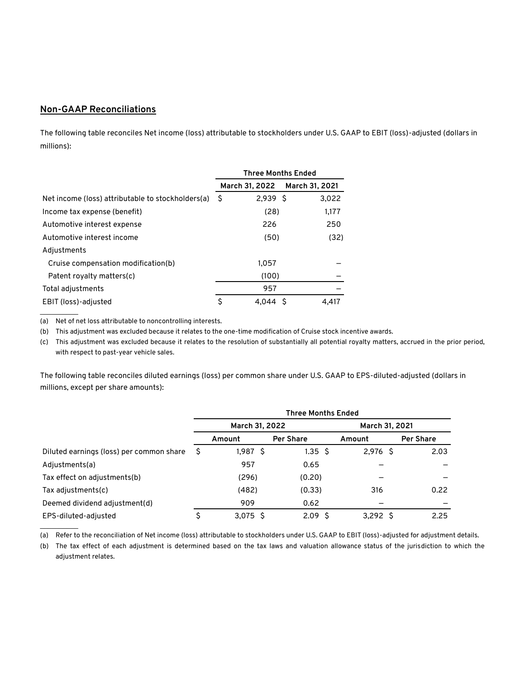### **Non-GAAP Reconciliations**

The following table reconciles Net income (loss) attributable to stockholders under U.S. GAAP to EBIT (loss)-adjusted (dollars in millions):

|                                                   | <b>Three Months Ended</b> |                |    |                |
|---------------------------------------------------|---------------------------|----------------|----|----------------|
|                                                   |                           | March 31, 2022 |    | March 31, 2021 |
| Net income (loss) attributable to stockholders(a) | S.                        | $2,939$ \$     |    | 3,022          |
| Income tax expense (benefit)                      |                           | (28)           |    | 1,177          |
| Automotive interest expense                       |                           | 226            |    | 250            |
| Automotive interest income                        |                           | (50)           |    | (32)           |
| Adjustments                                       |                           |                |    |                |
| Cruise compensation modification(b)               |                           | 1.057          |    |                |
| Patent royalty matters(c)                         |                           | (100)          |    |                |
| Total adjustments                                 |                           | 957            |    |                |
| EBIT (loss)-adjusted                              | \$                        | 4.044          | -S | 4.417          |

(a) Net of net loss attributable to noncontrolling interests.

 $\overline{\phantom{a}}$ 

 $\mathcal{L}=\mathcal{L}$ 

(b) This adjustment was excluded because it relates to the one-time modification of Cruise stock incentive awards.

(c) This adjustment was excluded because it relates to the resolution of substantially all potential royalty matters, accrued in the prior period, with respect to past-year vehicle sales.

The following table reconciles diluted earnings (loss) per common share under U.S. GAAP to EPS-diluted-adjusted (dollars in millions, except per share amounts):

|                                          | <b>Three Months Ended</b> |                |                  |                |                  |  |
|------------------------------------------|---------------------------|----------------|------------------|----------------|------------------|--|
|                                          |                           | March 31, 2022 |                  | March 31, 2021 |                  |  |
|                                          |                           | Amount         | <b>Per Share</b> | Amount         | <b>Per Share</b> |  |
| Diluted earnings (loss) per common share | S                         | 1,987 \$       | $1.35 \pm 5$     | $2,976$ \$     | 2.03             |  |
| Adjustments(a)                           |                           | 957            | 0.65             |                |                  |  |
| Tax effect on adjustments(b)             |                           | (296)          | (0.20)           |                |                  |  |
| Tax adjustments(c)                       |                           | (482)          | (0.33)           | 316            | 0.22             |  |
| Deemed dividend adjustment(d)            |                           | 909            | 0.62             |                |                  |  |
| EPS-diluted-adjusted                     |                           | 3.075S         | 2.09S            | 3.292S         | 2.25             |  |

(a) Refer to the reconciliation of Net income (loss) attributable to stockholders under U.S. GAAP to EBIT (loss)-adjusted for adjustment details.

(b) The tax effect of each adjustment is determined based on the tax laws and valuation allowance status of the jurisdiction to which the adjustment relates.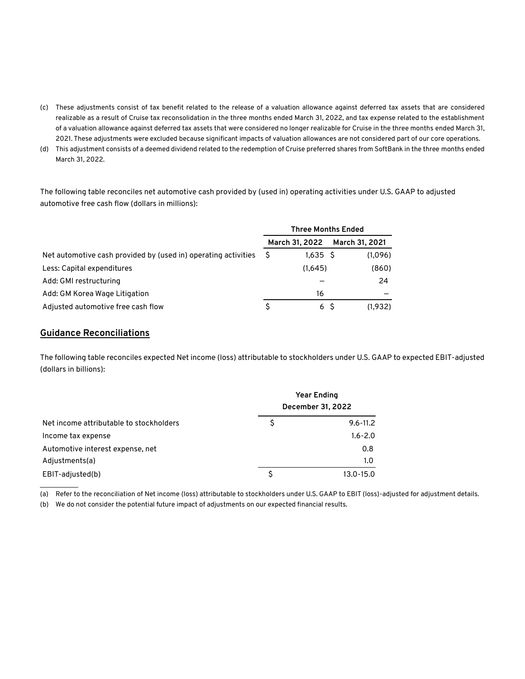- (c) These adjustments consist of tax benefit related to the release of a valuation allowance against deferred tax assets that are considered realizable as a result of Cruise tax reconsolidation in the three months ended March 31, 2022, and tax expense related to the establishment of a valuation allowance against deferred tax assets that were considered no longer realizable for Cruise in the three months ended March 31, 2021. These adjustments were excluded because significant impacts of valuation allowances are not considered part of our core operations.
- (d) This adjustment consists of a deemed dividend related to the redemption of Cruise preferred shares from SoftBank in the three months ended March 31, 2022.

The following table reconciles net automotive cash provided by (used in) operating activities under U.S. GAAP to adjusted automotive free cash flow (dollars in millions):

|                                                                | <b>Three Months Ended</b> |                |  |                |
|----------------------------------------------------------------|---------------------------|----------------|--|----------------|
|                                                                |                           | March 31, 2022 |  | March 31, 2021 |
| Net automotive cash provided by (used in) operating activities | S                         | 1.635 S        |  | (1,096)        |
| Less: Capital expenditures                                     |                           | (1.645)        |  | (860)          |
| Add: GMI restructuring                                         |                           |                |  | 24             |
| Add: GM Korea Wage Litigation                                  |                           | 16             |  |                |
| Adjusted automotive free cash flow                             | S                         | 6 S            |  | (1.932)        |

#### **Guidance Reconciliations**

The following table reconciles expected Net income (loss) attributable to stockholders under U.S. GAAP to expected EBIT-adjusted (dollars in billions):

|                                         | <b>Year Ending</b><br>December 31, 2022 |              |  |
|-----------------------------------------|-----------------------------------------|--------------|--|
| Net income attributable to stockholders | S                                       | $9.6 - 11.2$ |  |
| Income tax expense                      |                                         | $1.6 - 2.0$  |  |
| Automotive interest expense, net        |                                         | 0.8          |  |
| Adjustments(a)                          |                                         | 1.0          |  |
| EBIT-adjusted(b)                        |                                         | 13.0-15.0    |  |

(a) Refer to the reconciliation of Net income (loss) attributable to stockholders under U.S. GAAP to EBIT (loss)-adjusted for adjustment details.

(b) We do not consider the potential future impact of adjustments on our expected financial results.